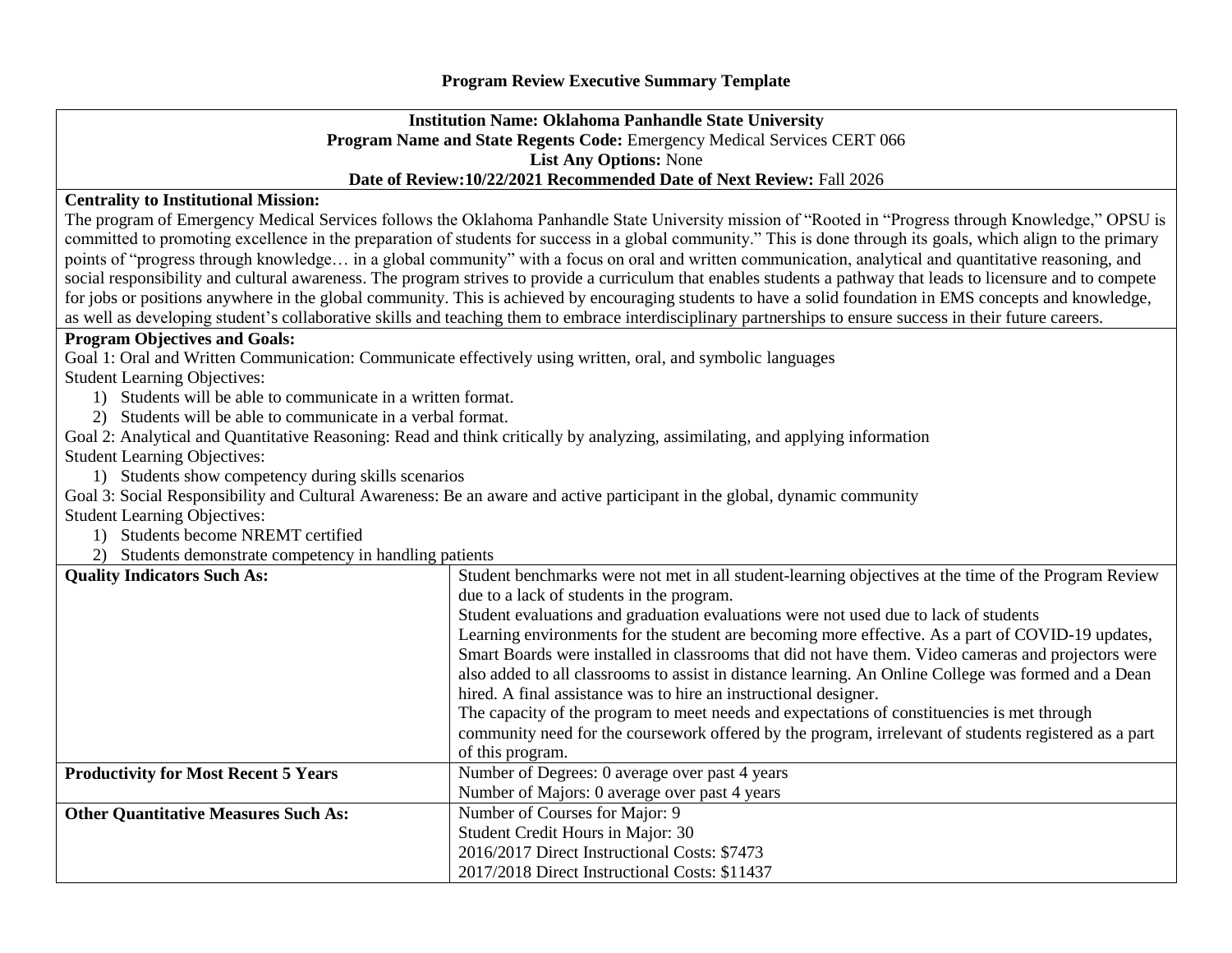## **Institution Name: Oklahoma Panhandle State University Program Name and State Regents Code:** Emergency Medical Services CERT 066 **List Any Options:** None **Date of Review:10/22/2021 Recommended Date of Next Review:** Fall 2026

## **Centrality to Institutional Mission:**

The program of Emergency Medical Services follows the Oklahoma Panhandle State University mission of "Rooted in "Progress through Knowledge," OPSU is committed to promoting excellence in the preparation of students for success in a global community." This is done through its goals, which align to the primary points of "progress through knowledge... in a global community" with a focus on oral and written communication, analytical and quantitative reasoning, and social responsibility and cultural awareness. The program strives to provide a curriculum that enables students a pathway that leads to licensure and to compete for jobs or positions anywhere in the global community. This is achieved by encouraging students to have a solid foundation in EMS concepts and knowledge, as well as developing student's collaborative skills and teaching them to embrace interdisciplinary partnerships to ensure success in their future careers.

## **Program Objectives and Goals:**

Goal 1: Oral and Written Communication: Communicate effectively using written, oral, and symbolic languages

Student Learning Objectives:

- 1) Students will be able to communicate in a written format.
- 2) Students will be able to communicate in a verbal format.

Goal 2: Analytical and Quantitative Reasoning: Read and think critically by analyzing, assimilating, and applying information Student Learning Objectives:

1) Students show competency during skills scenarios

Goal 3: Social Responsibility and Cultural Awareness: Be an aware and active participant in the global, dynamic community Student Learning Objectives:

1) Students become NREMT certified

2) Students demonstrate competency in handling patients

| <b>Quality Indicators Such As:</b>          | Student benchmarks were not met in all student-learning objectives at the time of the Program Review  |
|---------------------------------------------|-------------------------------------------------------------------------------------------------------|
|                                             | due to a lack of students in the program.                                                             |
|                                             | Student evaluations and graduation evaluations were not used due to lack of students                  |
|                                             | Learning environments for the student are becoming more effective. As a part of COVID-19 updates,     |
|                                             | Smart Boards were installed in classrooms that did not have them. Video cameras and projectors were   |
|                                             | also added to all classrooms to assist in distance learning. An Online College was formed and a Dean  |
|                                             | hired. A final assistance was to hire an instructional designer.                                      |
|                                             | The capacity of the program to meet needs and expectations of constituencies is met through           |
|                                             | community need for the coursework offered by the program, irrelevant of students registered as a part |
|                                             | of this program.                                                                                      |
| <b>Productivity for Most Recent 5 Years</b> | Number of Degrees: 0 average over past 4 years                                                        |
|                                             | Number of Majors: 0 average over past 4 years                                                         |
| <b>Other Quantitative Measures Such As:</b> | Number of Courses for Major: 9                                                                        |
|                                             | Student Credit Hours in Major: 30                                                                     |
|                                             | 2016/2017 Direct Instructional Costs: \$7473                                                          |
|                                             | 2017/2018 Direct Instructional Costs: \$11437                                                         |